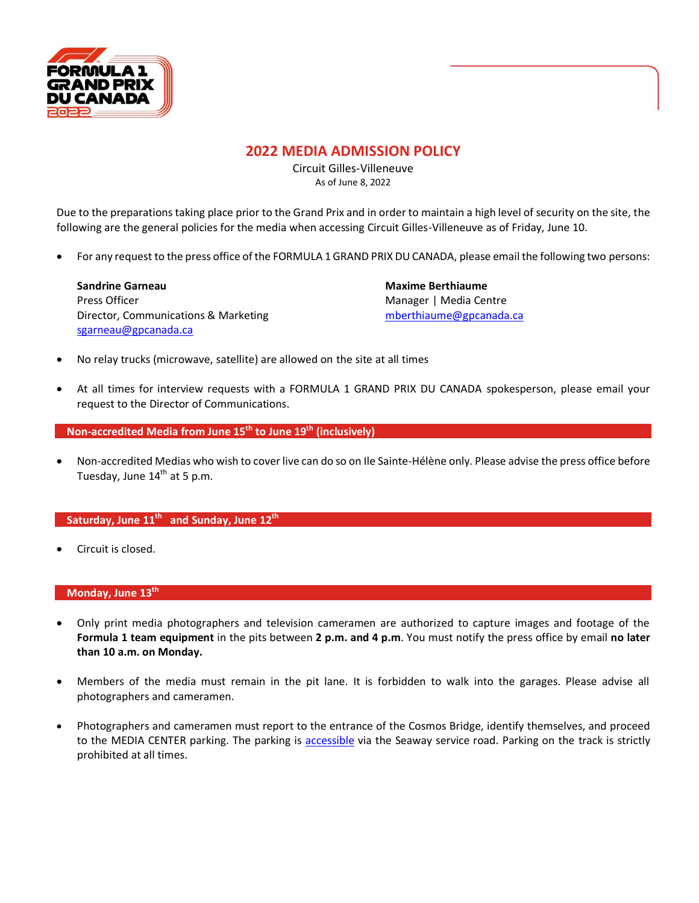

## **2022 MEDIA ADMISSION POLICY**

Circuit Gilles-Villeneuve As of June 8, 2022

Due to the preparations taking place prior to the Grand Prix and in order to maintain a high level of security on the site, the following are the general policies for the media when accessing Circuit Gilles-Villeneuve as of Friday, June 10.

• For any request to the press office of the FORMULA 1 GRAND PRIX DU CANADA, please email the following two persons:

**Sandrine Garneau Maxime Berthiaume**  Press Officer **Manager | Media Centre** Manager | Media Centre Director, Communications & Marketing metal [mberthiaume@gpcanada.ca](mailto:mberthiaume@gpcanada.ca) [sgarneau@gpcanada.ca](mailto:sgarneau@gpcanada.ca)

- No relay trucks (microwave, satellite) are allowed on the site at all times
- At all times for interview requests with a FORMULA 1 GRAND PRIX DU CANADA spokesperson, please email your request to the Director of Communications.

**Non-accredited Media from June 15 th to June 19 th (inclusively)** 

• Non-accredited Medias who wish to cover live can do so on Ile Sainte-Hélène only. Please advise the press office before Tuesday, June 14<sup>th</sup> at 5 p.m.

#### **Saturday, June 11 th and Sunday, June 12 th**

• Circuit is closed.

#### **Monday, June 13th**

- Only print media photographers and television cameramen are authorized to capture images and footage of the **Formula 1 team equipment** in the pits between **2 p.m. and 4 p.m**. You must notify the press office by email **no later than 10 a.m. on Monday.**
- Members of the media must remain in the pit lane. It is forbidden to walk into the garages. Please advise all photographers and cameramen.
- Photographers and cameramen must report to the entrance of the Cosmos Bridge, identify themselves, and proceed to the MEDIA CENTER parking. The parking is [accessible](https://www.google.com/maps/d/viewer?mid=1cQGyki1noSVUZSiUvMc8M9_cOQt6XCo&ll=45.50792108206891%2C-73.5239237&z=14) via the Seaway service road. Parking on the track is strictly prohibited at all times.